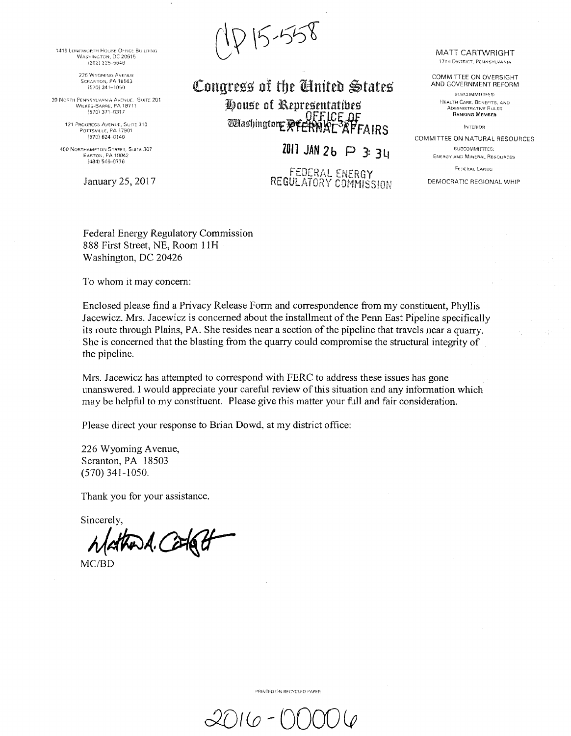1419 LONGWORTH HOUSE OFFICE BEILDING WASHINGTON, DC 20515  $(202)$  225-5546

> 226 WYOMING AVENUE SCRANTON, PA 18503  $(570)$  341-1050

20 NORTH PENNSYLVANIA AVENUE. SUITE 201 WILKES-BARRE, PA 18711 {570! 371--031/

> 121 PROGRESS AVENUE, SUITE 310. Porrsville, PA 17901 1570) 624 0140

400 NORTHAMPTON STREET, SUITE 307<br>EASTON, PA.18042 (484) 546-0776

January 25, 2017

215-558

Congress of the *Cinited* States House of Representatives<br>All U. ding an De OFF.ICE OF  $\mathbb{Q}$ wmlnsIJmgtot1£\*' ~[3 FA IRS

**ZO ll JAN 2 b P** 3= 3 lf

FEDER/\L ENERGY REGULATORY COMMISSION MATT CARTWRIGHT 17TH DISTRICT, PENNSYLVANIA

COMM!TTEE ON OVERSIGHT AND GOVERNMENT REFORM

SUBCOMMITTEES: HEALTH CARE. BENEFITS, AND ADMINISTRATIVE RULES **RANSING MEMBER** 

INTERIOR

COMMITTEE ON NATURAL RESOURCES SUBCOMMITTEES:

**ENERGY AND MINERAL RESOURCES** 

FEOERAL LANDS

DEMOCRATIC REGIONAL WHIP

Federal Energy Regulatory Commission 888 First Street, NE, Room l lH Washington, DC 20426

To whom it may concern:

Enclosed please find a Privacy Release Form and correspondence from my constituent, Phyllis Jacewicz. Mrs. Jacewicz is concerned about the installment of the Penn East Pipeline specifically its route through Plains, PA. She resides near a section of the pipeline that travels near a quarry. She is concerned that the blasting from the quarry could compromise the structural integrity of the pipeline.

Mrs. Jacewicz has attempted to correspond with FERC to address these issues has gone unanswered. I would appreciate your careful review of this situation and any information which may be helpful to my constituent. Please give this matter your full and fair consideration.

Please direct your response to Brian Dowd, at my district office:

226 Wyoming A venue, Scranton, PA 18503 (570) 341-1050.

Thank you for your assistance.

Sincerely,

 $\beta$ 

MC/BD

PRINTED ON RECYCLED PAPER

 $20$ IG - ( $\gamma$ C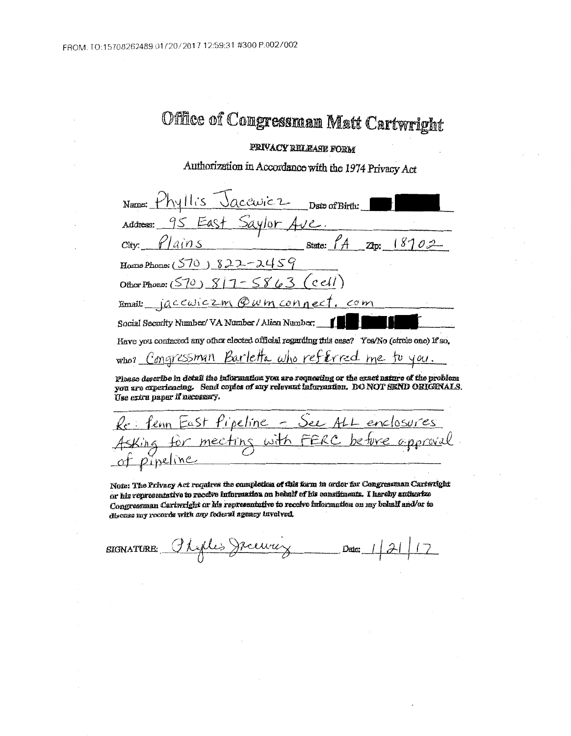## Office of Congressman Matt Cartwright

## PRIVACY RELEASE FORM

Authorization in Accordance with the 1974 Privacy Act

| Name: Phyllis Jacquicz Date of Birth:                                                                                                                                                                                     |
|---------------------------------------------------------------------------------------------------------------------------------------------------------------------------------------------------------------------------|
| Address: 95 East Saylor Ave.                                                                                                                                                                                              |
| $city.$ $\ell / a$ in S                                                                                                                                                                                                   |
| Home Phone: $(570)$ 822-2459                                                                                                                                                                                              |
| Other Phone: (570) $8/7 - 5863$ (cell)                                                                                                                                                                                    |
| Email: jaccuiczm @wm connect. com                                                                                                                                                                                         |
| Social Security Number/ VA Number / Alien Number:                                                                                                                                                                         |
| Have you contacted any other elected official regarding this case? Yea/No (circle one) If so,                                                                                                                             |
| who? Congressman Barletta who referred me to you.                                                                                                                                                                         |
| Please describe in detail the information you are requesting or the exact nature of the problem<br>you are experiencing. Send copies of any relevant information. DO NOT SEND ORIGINALS.<br>Use extra paper if necessary. |

Re: fem East Pipeline - See ALL enclosures Asking for meeting with FERC<br>of pipeline be ture

Note: The Privacy Act requires the completion of this form in order for Congressman Cartwright or his representative to receive information on heluilf of his constituents. I hereby and orize Congressman Cartwright or his representative to receive information on my behalf and/or to discusa my records with any federal agency havolved.

Phyllis Jecurity SIGNATURE: Date: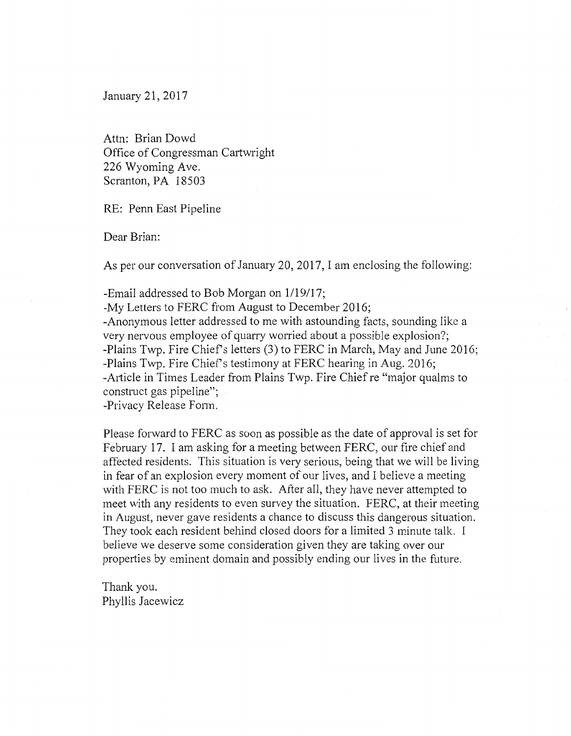January 21, 2017

Attn: Brian Dowd Office of Congressman Cartwright 226 Wyoming Ave. Scranton, PA 18503

RE: Penn East Pipeline

Dear Brian:

As per our conversation of January 20, 2017, I am enclosing the following:

-Email addressed to Bob Morgan on 1/19/17;

-My Letters to FERC from August to December 2016; -Anonymous letter addressed to me with astounding facts, sounding like a very nervous employee of quarry worried about a possible explosion?; -Plains Twp. Fire Chief's letters (3) to FERC in March, May and June 2016; -Plains Twp. Fire Chief's testimony at FERC hearing in Aug. 2016; -Article in Times Leader from Plains Twp. Fire Chief re "major qualms to construct gas pipeline";

-Privacy Release Fonn.

Please forward to FERC as soon as possible as the date of approval is set for February 17. I am asking for a meeting between FERC, our fire chief and affected residents. This situation is very serious, being that we will be living in fear of an explosion every moment of our lives, and I believe a meeting with FERC is not too much to ask. After all, they have never attempted to meet with any residents to even survey the situation. FERC, at their meeting in August, never gave residents a chance to discuss this dangerous situation. They took each resident behind closed doors for a limited 3 minute talk. I believe we deserve some consideration given they are taking over our properties by eminent domain and possibly ending our lives in the future.

Thank you. Phyllis Jacewicz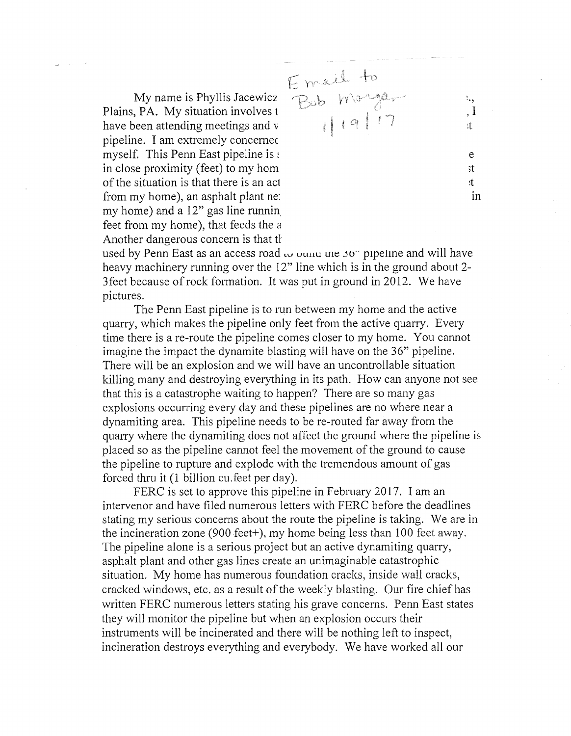My name is Phyllis Jacewicz Plains, PA. My situation involves 1 have been attending meetings and v pipeline. I am extremely concemec myself. This Penn East pipeline is : in close proximity (feet) to my horn of the situation is that there is an ac1 from my home), an asphalt plant ne: my home) and a 12" gas line runnin. feet from my home), that feeds the a Another dangerous concern is that t}

. A ,{ ~-' . ., , I :t e ;t :t m

used by Penn East as an access road  $\omega$  ound the 50" pipeline and will have heavy machinery running over the 12" line which is in the ground about 2- 3 feet because of rock formation. It was put in ground in 2012. We have pictures.

The Penn East pipeline is to run between my home and the active quarry, which makes the pipeline only feet from the active quarry. Every time there is a re-route the pipeline comes closer to my home. You cannot imagine the impact the dynamite blasting will have on the 36" pipeline. There will be an explosion and we will have an uncontrollable situation killing many and destroying everything in its path. How can anyone not see that this is a catastrophe waiting to happen? There are so many gas explosions occurring every day and these pipelines are no where near a dynamiting area. This pipeline needs to be re-routed far away from the quarry where the dynamiting does not affect the ground where the pipeline is placed so as the pipeline cannot feel the movement of the ground to cause the pipeline to rupture and explode with the tremendous amount of gas forced thru it (1 billion cu.feet per day).

FERC is set to approve this pipeline in February 2017. I am an intervenor and have filed numerous letters with FERC before the deadlines stating my serious concerns about the route the pipeline is taking. We are in the incineration zone (900 feet+), my home being less than 100 feet away. The pipeline alone is a serious project but an active dynamiting quarry, asphalt plant and other gas lines create an unimaginable catastrophic situation. My home has numerous foundation cracks, inside wall cracks, cracked windows, etc. as a result of the weekly blasting. Our fire chief has written FERC numerous letters stating his grave concerns. Penn East states they will monitor the pipeline but when an explosion occurs their instruments will be incinerated and there will be nothing left to inspect, incineration destroys everything and everybody. We have worked all our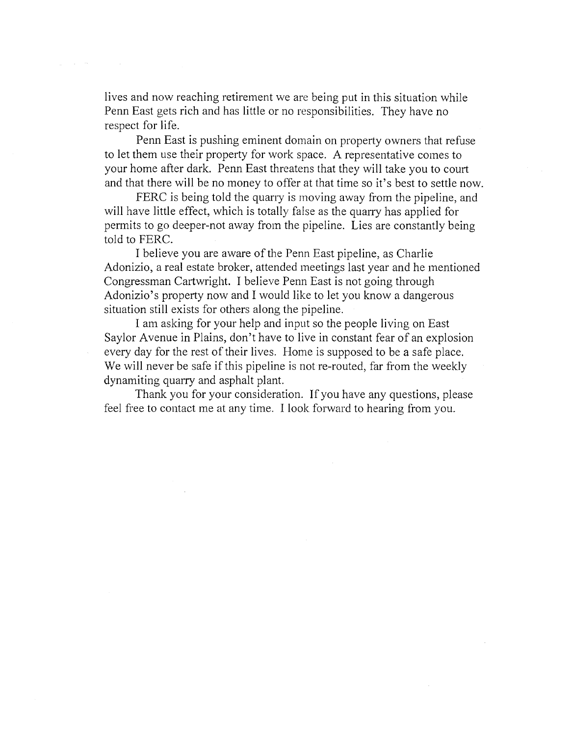lives and now reaching retirement we are being put in this situation while Penn East gets rich and has little or no responsibilities. They have no respect for life.

Penn East is pushing eminent domain on property owners that refuse to let them use their property for work space. A representative comes to your home after dark. Penn East threatens that they will take you to court and that there will be no money to offer at that time so it's best to settle now.

FERC is being told the quarry is moving away from the pipeline, and will have little effect, which is totally false as the quarry has applied for permits to go deeper-not away from the pipeline. Lies are constantly being told to FERC.

I believe you are aware of the Penn East pipeline, as Charlie Adonizio, a real estate broker, attended meetings last year and he mentioned Congressman Cartwright. I believe Penn East is not going through Adonizio's property now and I would like to let you know a dangerous situation still exists for others along the pipeline.

I am asking for your help and input so the people living on East Saylor Avenue in Plains, don't have to live in constant fear of an explosion every day for the rest of their lives. Home is supposed to be a safe place. We will never be safe if this pipeline is not re-routed, far from the weekly dynamiting quarry and asphalt plant.

Thank you for your consideration. If you have any questions, please feel free to contact me at any time. I look forward to hearing from you.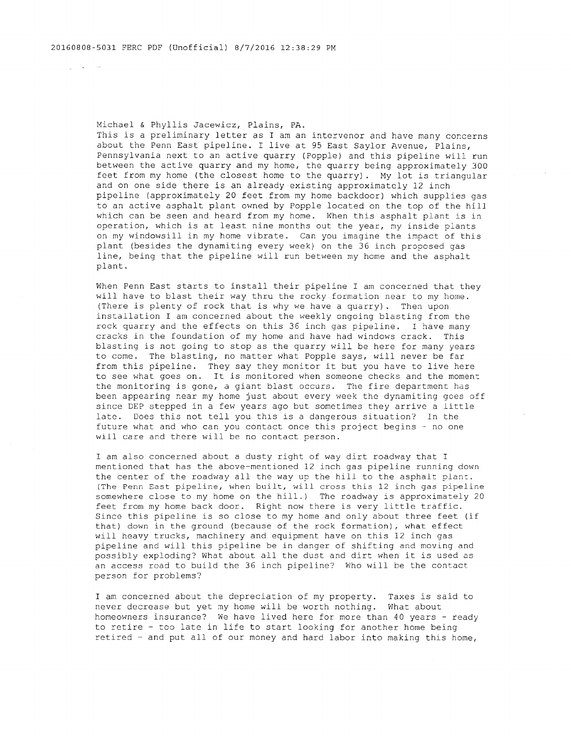and the second second

Michael & Phyllis Jacewicz, Plains, PA.

This is a preliminary letter as I am an intervenor and have many concerns about the Penn East pipeline. I live at 95 East Saylor Avenue, Plains, Pennsylvania next to an active quarry (Popple) and this pipeline will run between the active quarry and my home, the quarry being approximately 300 feet from my home (the closest home to the quarry) . My lot is triangular and on one side there is an already existing approximately 12 inch pipeline (approximately 20 feet from my home backdoor) which supplies gas to an active asphalt plant owned by Popple located on the top of the hill which can be seen and heard from my home. When this asphalt plant is in operation, which is at least nine months out the year, my inside plants on my windowsill in my home vibrate. Can you imagine the impact of this plant (besides the dynamiting every week) on the 36 inch proposed gas line, being that the pipeline will run between my home and the asphalt plant.

When Penn East starts to install their pipeline I am concerned that they will have to blast their way thru the rocky formation near to my home. (There is plenty of rock that is why we have a quarry) . Then upon installation I am concerned about the weekly ongoing blasting from the rock quarry and the effects on this 36 inch gas pipeline. I have many cracks in the foundation of my home and have had windows crack. This blasting is not going to stop as the quarry will be here for many years to come. The blasting, no matter what Popple says, will never be far from this pipeline. They say they monitor it but you have to live here to see what goes on. It is monitored when someone checks and the moment the monitoring is gone, a giant blast occurs. The fire department has been appearing near my home just about every week the dynamiting goes off since DEP stepped in a few years ago but sometimes they arrive a little late. Does this not tell you this is a dangerous situation? In the future what and who can you contact once this project begins - no one will care and there will be no contact person.

I am also concerned about a dusty right of way dirt roadway that I mentioned that has the above-mentioned 12 inch gas pipeline running down the center of the roadway all the way up the hill to the asphalt plant. (The Penn East pipeline, when built, will cross this 12 inch gas pipeline somewhere close to my home on the hill.) The roadway is approximately 20 feet from my home back door. Right now there is very little traffic. Since this pipeline is so close to my home and only about three feet (if that) down in the ground (because of the rock formation), what effect will heavy trucks, machinery and equipment have on this 12 inch gas pipeline and will this pipeline be in danger of shifting and moving and possibly exploding? What about all the dust and dirt when it is used as an access road to build the 36 inch pipeline? Who will be the contact person for problems?

I am concerned about the depreciation of my property. Taxes is said to never decrease but yet my home will be worth nothing. What about homeowners insurance? We have lived here for more than 40 years - ready to retire - too late in life to start looking for another home being retired - and put all of our money and hard labor into making this home,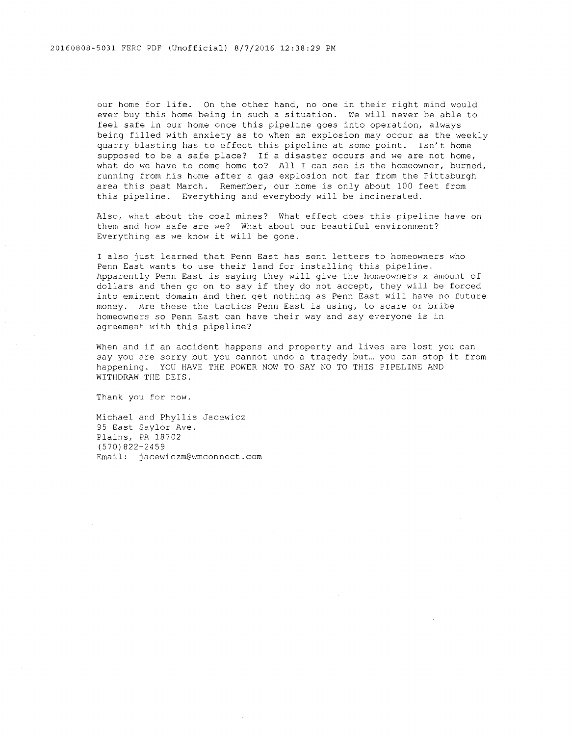our home for life. On the other hand, no one in their right mind would ever buy this home being in such a situation. We will never be able to feel safe in our home once this pipeline goes into operation, always being filled with anxiety as to when an explosion may occur as the weekly quarry blasting has to effect this pipeline at some point. Isn't home supposed to be a safe place? If a disaster occurs and we are not home, what do we have to come home to? All I can see is the homeowner, burned, running from his home after a gas explosion not far from the Pittsburgh area this past March. Remember, our home is only about 100 feet from this pipeline. Everything and everybody will be incinerated.

Also, what about the coal mines? What effect does this pipeline have on them and how safe are we? What about our beautiful environment? Everything as we know it will be gone.

I also just learned that Penn East has sent letters to homeowners who Penn East wants to use their land for installing this pipeline. Apparently Penn East is saying they will give the homeowners x amount of dollars and then go on to say if they do not accept, they will be forced into eminent domain and then get nothing as Penn East will have no future money. Are these the tactics Penn East is using, to scare or bribe homeowners so Penn East can have their way and say everyone is in agreement with this pipeline?

When and if an accident happens and property and lives are lost you can say you are sorry but you cannot undo a tragedy but... you can stop it from happening. YOO HAVE THE POWER NOW TO SAY NO TO THIS PIPELINE AND WITHDRAW THE DEIS.

Thank you for now.

Michael and Phyllis Jacewicz 95 East Saylor Ave. Plains, PA 18702 (570)822-2459 Email: jacewiczm@wmconnect.com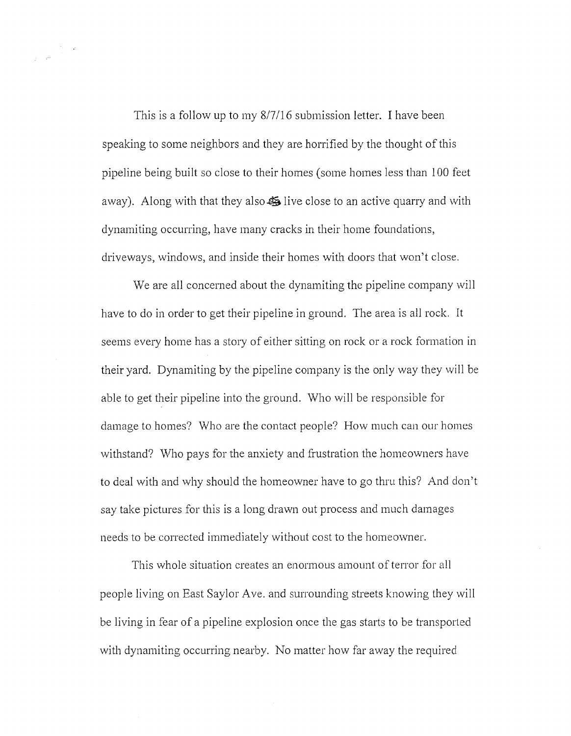This is a follow up to my 8/7116 submission letter. I have been speaking to some neighbors and they are horrified by the thought of this pipeline being built so close to their homes (some homes less than 100 feet away). Along with that they also  $\ddot{\bullet}$  live close to an active quarry and with dynamiting occurring, have many cracks in their home foundations, driveways, windows, and inside their homes with doors that won't close.

We are all concerned about the dynamiting the pipeline company will have to do in order to get their pipeline in ground. The area is all rock. It seems every home has a story of either sitting on rock or a rock formation in their yard. Dynamiting by the pipeline company is the only way they will be able to get their pipeline into the ground. \Vho will be responsible for damage to homes? Who are the contact people? How much can our homes withstand? *\Vho* pays for the anxiety and frustration the homeowners have to deal with and why should the homeowner have to go thru this? And don't say take pictures for this is a long drawn out process and much damages needs to be corrected immediately without cost to the homeowner.

This whole situation creates an enormous amount of terror for all people living on East Saylor Ave. and surrounding streets knowing they will be living in fear of a pipeline explosion once the gas starts to be transported with dynamiting occurring nearby. No matter how far away the required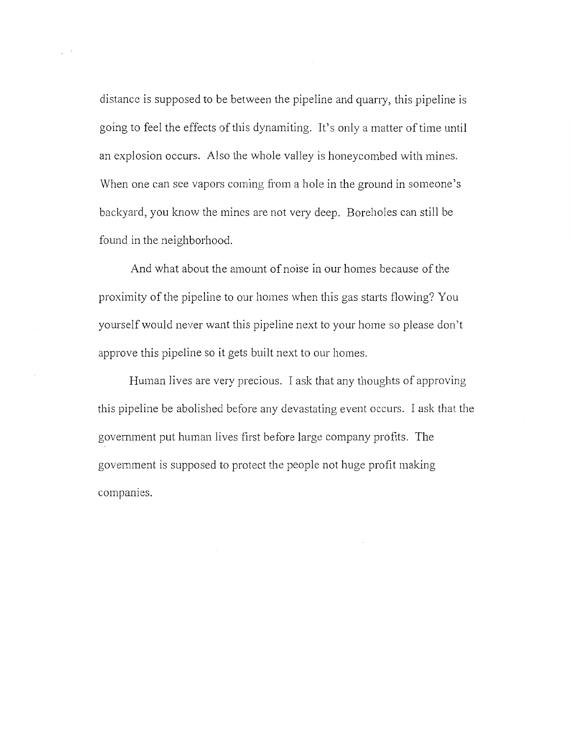distance is supposed to be between the pipeline and quarry, this pipeline is going to feel the effects of this dynamiting. It's only a matter of time until an explosion occurs. Also the whole valley is honeycombed with mines. When one can see vapors coming from a hole in the ground in someone's backyard, you know the mines are not very deep. Boreholes can still be found in the neighborhood.

And what about the amount of noise in our homes because of the proximity of the pipeline to our homes when this gas starts flowing? You yourself would never want this pipeline next to your home so please don't approve this pipeline so it gets built next to our homes.

Human lives are very precious. I ask that any thoughts of approving this pipeline be abolished before any devastating event occurs. I ask that the government put human lives first before large company profits. The government is supposed to protect the people not huge profit making companies.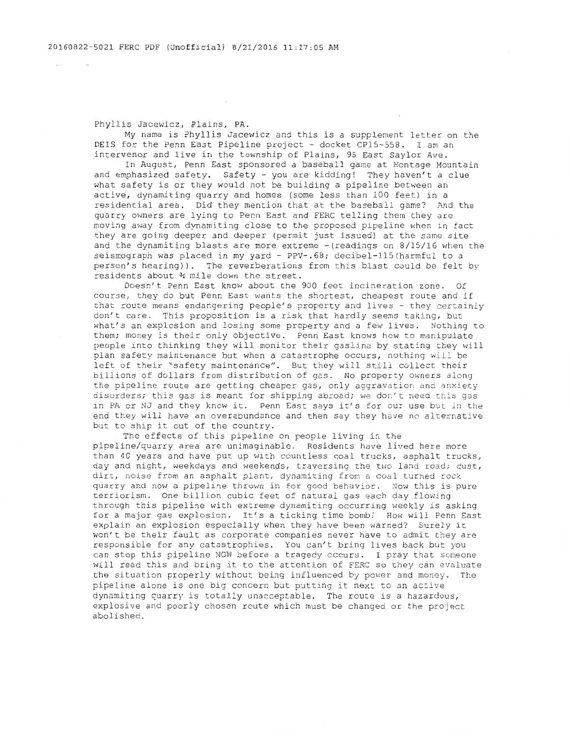Phyllis Jacewicz, Plains, PA.

My name is Phyllis Jacewicz and this is a supplement letter on the DEIS for the Penn East Pipeline project - docket CP15-558. I am an intervenor and live in the township of Plains, 95 East Saylor Ave.

In August, Penn East sponsored a baseball game at Montage Mountain and emphasized safety. Safety - you are kidding! They haven't a clue what safety is or they would not be building a pipeline between an active, dynamiting quarry and homes (some less than 100 feet) in a residential area. Did they mention that at the baseball game? And the quarry owners are lying to Penn East and FERC telling them they are moving away from dynamiting close to the proposed pipeline when in fact they are going deeper and deeper (permit just issued) at the same site and the dynamiting blasts are more extreme -(readings on 8/15/16 when the seismograph was placed in my yard - PPV-.68; decibel-115(harmful to a person's hearing)). The reverberations from this blast could be felt by residents about 34 mile down the street.

Doesn't Penn East know about the 900 feet incineration zone. Of course, they do but Penn East wants the shortest, cheapest route and if that route means endangering people's property and lives - they certainly don't care. This proposition is a risk that hardly seems taking, but what's an explosion and losing some property and a few lives. Nothing to them; money is their only objective. Penn East knows how to manipulate people into thinking they will monitor their gasline by stating they will plan safety maintenance but when a catastrophe occurs, nothing will be left of their "safety maintenance". But they will still collect their billions of dollars from distribution of gas. No property owners along the pipeline route are getting cheaper gas, only aggravation and anxiety disorders; this gas is meant for shipping abroad; we don't need this gas in PA or NJ and they know it. Penn East says it's for our use but in the end they will have an overabundance and then say they have no alternative but to ship it out of the country.

The effects of this pipeline on people living in the pipeline/quarry area are unimaginable. Residents have lived here more than 40 years and have put up with countless coal trucks, asphalt trucks, day and night, weekdays and weekends, traversing the two land road; dust, dirt, noise from an asphalt plant, dynamiting from a coal turned rock quarry and now a pipeline thrown in for good behavior. Now this is pure terriorism. One billion cubic feet of natural gas each day flowing through this pipeline with extreme dynamiting occurring weekly is asking for a major gas explosion. It's a ticking time bomb! How will Penn East explain an explosion especially when they have been warned? Surely it won't be their fault as corporate companies never have to admit they are responsible for any catastrophies. You can't bring lives back but you can stop this pipeline NOW before a tragedy occurs. I pray that someone will read this and bring it to the attention of FERC so they can evaluate the situation properly without being influenced by power and money. The pipeline alone is one big concern but putting it next to an active dynamiting quarry is totally unacceptable. The route is a hazardous, explosive and poorly chosen route which must be changed or the project abolished.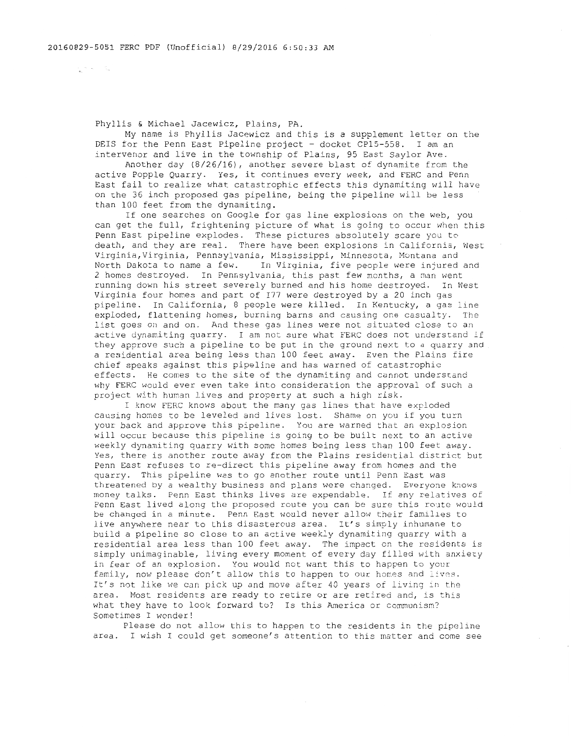and the state of the

Phyllis & Michael Jacewicz, Plains, PA.

My name is Phyllis Jacewicz and this is a supplement letter on the DEIS for the Penn East Pipeline project - docket CP15-558. I am an intervenor and live in the township of Plains, 95 East Saylor Ave.

Another day (8/26/16), another severe blast of dynamite from the active Popple Quarry. Yes, it continues every week, and FERC and Penn East fail to realize what catastrophic effects this dynamiting will have on the 36 inch proposed gas pipeline, being the pipeline will be less than 100 feet from the dynamiting.

If one searches on Google for gas line explosions on the web, you can get the full, frightening picture of what is going to occur when this Penn East pipeline explodes. These pictures absolutely scare you to death, and they are real. There have been explosions in California, West Virginia,Virginia, Pennsylvania, Mississippi, Minnesota, Montana and North Dakota to name a few. In Virginia, five people were injured and 2 homes destroyed. In Pennsylvania, this past few months, a man went running down his street severely burned and his home destroyed. In West Virginia four homes and part of I77 were destroyed by a 20 inch gas pipeline. In California, 8 people were killed. In Kentucky, a gas line exploded, flattening homes, burning barns and causing one casualty. The list goes on and on. And these gas lines were not situated close to an active dynamiting quarry. I am not sure what FERC does not understand if they approve such a pipeline to be put in the ground next to a quarry and a residential area being less than 100 feet away. Even the Plains fire chief speaks against this pipeline and has warned of catastrophic effects. He comes to the site of the dynamiting and cannot understand why FERC would ever even take into consideration the approval of such a project with hunan lives and property at such a high risk.

I know FERC knows about the nany gas lines that have exploded causing homes to be leveled and lives lost. Shame on you if you turn your back and approve this pipeline. You are warned that an explosion will occur because this pipeline is going to be built next to an active weekly dynamiting quarry with some homes being less than 100 feet away. Yes, there is another route away from the Plains residential district but Penn East refuses to re-direct this pipeline away from homes and the quarry. This pipeline was to go another route until Penn East was threatened by a wealthy business and plans were changed. Everyone knows money talks. Penn East thinks lives are expendable. If any relatives of Penn East lived along the proposed route you can be sure this route would be changed in a minute. Penn East would never allow their families to live anywhere near to this disasterous area. It's simply inhumane to build a pipeline so close to an active weekly dynamiting quarry with a residential area less than 100 feet away. The inpact on the residents is simply unimaginable, living every moment of every day filled with anxiety in fear of an explosion. You would not want this to happen to your family, now please don't allow this to happen to our homes and lives. It's not like we can pick up and move after 40 years of living in the area. Most residents are ready to retire or are retired and, is this what they have to look forward to? Is this America or communism? Sometimes I wonder!

Please do not allow this to happen to the residents in the pipeline area. I wish I could get someone's attention to this matter and come see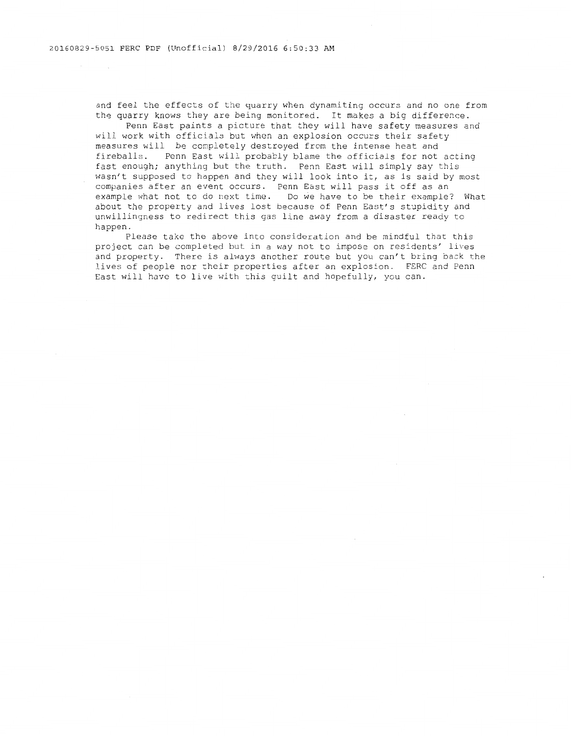and feel the effects of the quarry when dynamiting occurs and no one from the quarry knows they are being monitored. It makes a big difference.

Penn East paints a picture that they will have safety measures and will work with officials but when an explosion occurs their safety measures will be conpletely destroyed from the intense heat and fireballs. Penn East will probably blame the officials for not acting fast enough; anything but the truth. Penn East will simply say this wasn't supposed to happen and they will look into it, as is said by most wash t supposed to happen and they will look like it, as is suid by companies after an event occurs. Penn East will pass it off as an example what not to do next time. Do we have to be their example? What about the property and lives lost because of Penn East's stupidity and unwillingness to redirect this gas line away from a disaster ready to happen.

Please take the above into consideration and be mindful that this project can be completed but in a way not to impose on residents' lives and property. There is always another route but you can't bring back the lives of people nor their properties after an explosion. FERC and Penn East will have to live with this guilt and hopefully, you can.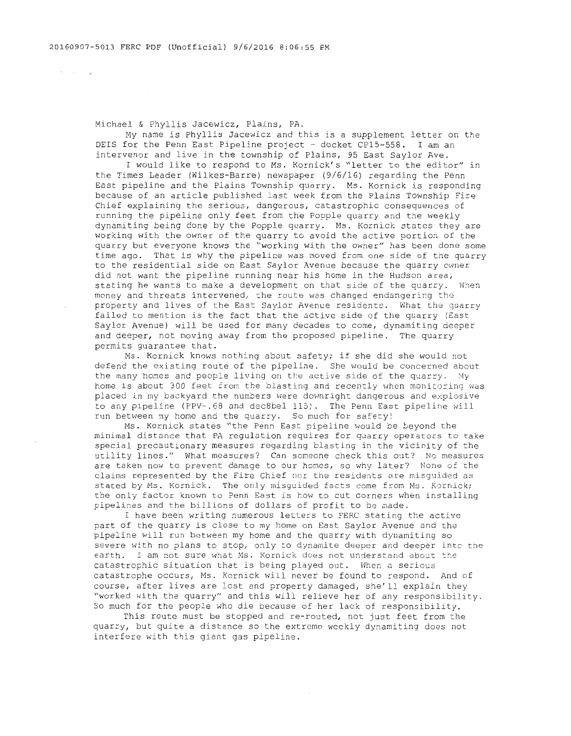$\alpha$  , and  $\alpha$  , and  $\alpha$ 

Michael & Phyllis Jacewicz, Plains, PA.

My name is Phyllis Jacewicz and this is a supplement letter on the DEIS for the Penn East Pipeline project - docket CPlS-558. I am an intervenor and live in the township of Plains, 95 East Saylor Ave.

I would like to respond to Ms. Kornick's "letter to the editor" in the Times Leader (Wilkes-Barre) newspaper (9/6/16) regarding the Penn East pipeline and the Plains Township quarry. Ms. Kornick is responding because of an article published last week from the Plains Township Fire Chief explaining the serious, dangerous, catastrophic consequences of running the pipeline only feet from the Popple quarry and the weekly dynamiting being done by the Popple quarry. Ms. Kornick states they are working with the owner of the quarry to avoid the active portion of the quarry but everyone knows the "working with the owner" has been done some time ago. That is why the pipeline was moved from one side of the quarry to the residential side on East Saylor Avenue because the quarry owner did not want the pipeline running near his home in the Hudson area, stating he wants to make a development on that side of the quarry. When money and threats intervened, the route was changed endangering the property and lives of the East Saylor Avenue residents. What the quarry failed to mention is the fact that the active side of the quarry (East Saylor Avenue) will be used for many decades to come, dynamiting deeper and deeper, not moving away from the proposed pipeline. The quarry permits guarantee that.

Ms. Kornick knows nothing about safety; if she did she would not defend the existing route of the pipeline. She would be concerned about the many homes and people living on the active side of the quarry. My home is about 300 feet from the blasting and recently when monitoring was placed ln my backyard the numbers were downright dangerous and explosive to any pipeline (PPV-. 68 and dec8bel 115). The Penn East pipeline will run between my home and the quarry. So much for safety!

Ms. Kornick states "the Penn East pipeline would be beyond the minimal distance that PA regulation requires for quarry operators to take special precautionary measures regarding blasting in the vicinity of the utility lines." What measures? Can someone check this out? No measures are taken now to prevent damage to our homes, so why later? None of the claims represented by the Fire Chief nor the residents are misguided as stated by Ms. Kornick. The only misguided facts come from Ms. Kornick; the only factor known to Penn East is how to cut corners when installing pipelines and the billions of dollars of profit to be made.

I have been writing numerous letters to FERC stating the active part of the quarry is close to my home on East Saylor Avenue and the pipeline will run between my home and the quarry with dynamiting so severe with no plans to stop, only to dynamite deeper and deeper into the earth. I am not sure what Ms. Kornick does not understand about the catastrophic situation that is being played out. When a serious catastrophe occurs, Ms. Kornick will never be found to respond. And of course, after lives are lost and property damaged, she'll explain they "worked with the quarry" and this will relieve her of any responsibility. So much for the people who die because of her lack of responsibility.

This route must be stopped and re-routed, not just feet from the quarry, but quite a distance so the extreme weekly dynamiting does not interfere with this giant gas pipeline.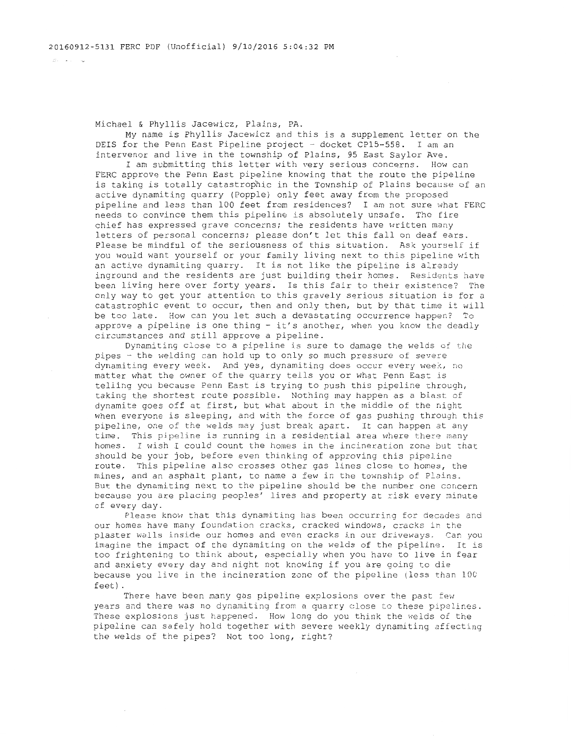Michael & Phyllis Jacewicz, Plains, PA.

My name is Phyllis Jacewicz and this is a supplement letter on the DEIS for the Penn East Pipeline project - docket CP15-558. I am an intervenor and live in the township of Plains, 95 East Saylor Ave.

I am submitting this letter with very serious concerns. How can FERC approve the Penn East pipeline knowing that the route the pipeline is taking is totally catastrophic in the Township of Plains because of an active dynamiting quarry (Popple) only feet away from the proposed pipeline and less than 100 feet from residences? I am not sure what FERC needs to convince them this pipeline is absolutely unsafe. The fire chief has expressed grave concerns; the residents have written many letters of personal concerns; please don't let this fall on deaf ears. Please be mindful of the seriousness of this situation. Ask yourself if you would want yourself or your family living next to this pipeline with an active dynamiting quarry. It is not like the pipeline is already inground and the residents are just building their homes. Residents have been living here over forty years. Is this fair to their existence? The only way to get your attention to this gravely serious situation is for a catastrophic event to occur, then and only then, but by that time it will be too late. How can you let such a devastating occurrence happen? To approve a pipeline is one thing - it's another, when you know the deadly circumstances and still approve a pipeline.

Dynamiting close to a pipeline is sure to damage the welds of the pipes - the welding can hold up to only so much pressure of severe dynamiting every week. And yes, dynamiting does occur every week, no matter what the owner of the quarry tells you or what Penn East is telling you because Penn East is trying to push this pipeline through, taking the shortest route possible. Nothing may happen as a blast of dynamite goes off at first, but what about in the middle of the night when everyone is sleeping, and with the force of gas pushing through this pipeline, one of the welds may just break apart. It can happen at any time. This pipeline is running in a residential area where there many homes. I wish I could count the homes in the incineration zone but that should be your job, before even thinking of approving this pipeline route. This pipeline also crosses other gas lines close to homes, the mines, and an asphalt plant, to name a few in the township of Plains. But the dynamiting next to the pipeline should be the number one concern because you are placing peoples' lives and property at risk every minute of every day.

Please know that this dynamiting has been occurring for decades and our homes have many foundation cracks, cracked windows, cracks in the plaster walls inside our homes and even cracks in our driveways. Can you imagine the impact of the dynamiting on the welds of the pipeline. It is too frightening to think about, especially when you have to live in fear and anxiety every day and night not knowing if you are going to die because you live in the incineration zone of the pipeline (less than 100 feet).

There have been many gas pipeline explosions over the past few years and there was no dynamiting from a quarry close to these pipelines. These explosions just happened. How long do you think the welds of the pipeline can safely hold together with severe weekly dynamiting affecting the welds of the pipes? Not too long, right?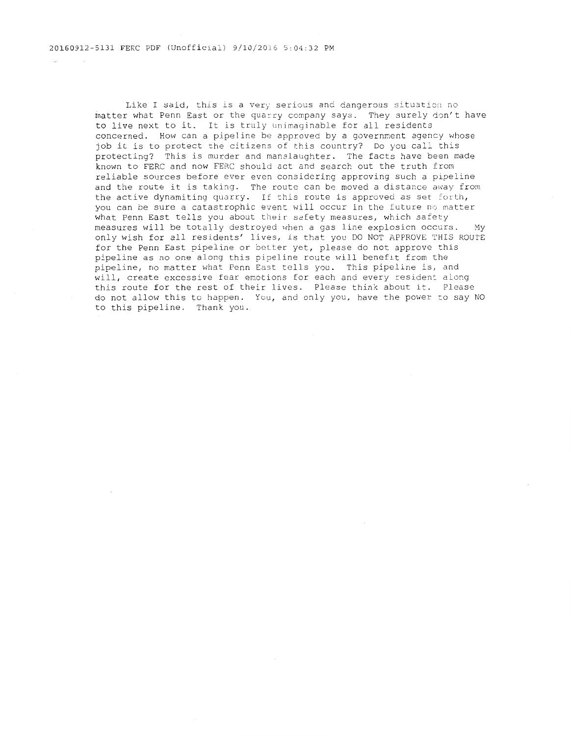Like I said, this is a very serious and dangerous situation no matter what Penn East or the quarry company says. They surely don't have to live next to it. It is truly unimaginable for all residents concerned. How can a pipeline be approved by a government agency whose job it is to protect the citizens of this country? Do you call this protecting? This is murder and manslaughter. The facts have been made known to FERC and now FERC should act and search out the truth from reliable sources before ever even considering approving such a pipeline and the route it is taking. The route can be moved a distance away from the active dynamiting quarry. If this route is approved as set forth, you can be sure a catastrophic event will occur in the future no matter what Penn East tells you about their safety measures, which safety measures will be totally destroyed when a gas line explosion occurs. My only wish for all residents' lives, is that you DO NOT APPROVE THIS ROUTE for the Penn East pipeline or better yet, please do not approve this pipeline as no one along this pipeline route will benefit from the pipeline, no matter what Penn East tells you. This pipeline is, and will, create excessive fear emotions for each and every resident along this route for the rest of their lives. Please think about it. Please do not allow this to happen. You, and only you, have the power :o say NO to this pipeline. Thank you.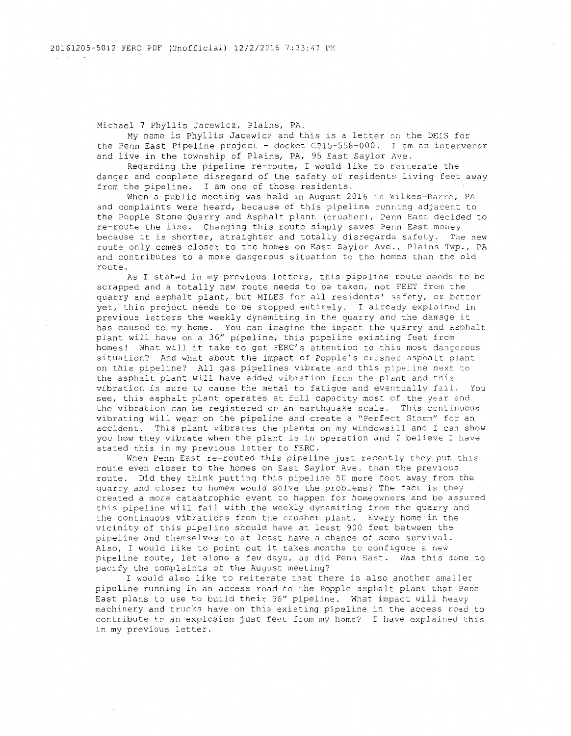Michael 7 Phyllis Jacewicz, Plains, PA.

My name is Phyllis Jacewicz and this is a letter on the DEIS for the Penn East Pipeline project - docket CP15-558-000. I am an intervenor and live in the township of Plains, PA, 95 East Saylor Ave.

Regarding the pipeline re-route, I would like to reiterate the danger and complete disregard of the safety of residents living feet away from the pipeline. I am one of those residents.

When a public meeting was held in August 2016 in Wilkes-Barre, PA and complaints were heard, because of this pipeline running adjacent to the Popple Stone Quarry and Asphalt plant (crusher), Penn East decided to re-route the line. Changing this route simply saves Penn East money because it is shorter, straighter and totally disregards safety. The new route only comes closer to the homes on East Saylor Ave., Plains Twp., PA and contributes to a more dangerous situation to the homes than the old route.

As I stated in my previous letters, this pipeline route needs to be scrapped and a totally new route needs to be taken, not ?EET from the quarry and asphalt plant, but MILES for all residents' safety, or better yet, this project needs to be stopped entirely. I already explained in previous letters the weekly dynamiting in the quarry and the damage it has caused to my home. You can imagine the impact the quarry and asphalt plant will have on a 36" pipeline, this pipeline existing feet from homes! What will it take to get FERC's attention to this most dangerous situation? And what about the impact of Popple's crusher asphalt plant on this pipeline? All gas pipelines vibrate and this pipeline next to the asphalt plant will have added vibration from the plant and this vibration is sure to cause the metal to fatigue and eventually fail. You see, this asphalt plant operates at full capacity most cf the year and the vibration can be registered on an earthquake scale. This continuous vibrating will wear on the pipeline and create a "Perfect Storm" for an accident. This plant vibrates the plants on my windowsill and I can show you how they vibrate when the plant is in operation and I believe I have stated this in my previous letter to FERC.

When Penn East re-routed this pipeline just recently they put this route even closer to the homes on East Saylor Ave. than the previous route. Did they think putting this pipeline 50 more feet away from the quarry and closer to homes would solve the problems? The fact is they created a more catastrophic event to happen for homeowners and be assured this pipeline will fail with the weekly dynamiting from the quarry and the continuous vibrations from the crusher plant. Every home in the vicinity of this pipeline should have at least 900 feet between the pipeline and themselves to at least have a chance of some survival. Also, I would like to point out it takes months to configure a new pipeline route, let alone a few days, as did Penn East. Was this done to pacify the complaints of the August meeting?

I would also like to reiterate that there is also another smaller pipeline running in an access road to the Popple asphalt plant that Penn East plans to use to build their 36" pipeline. What impact will heavy machinery and trucks have on this existing pipeline in the access road to contribute to an explosion just feet from my home? I have explained this in my previous letter.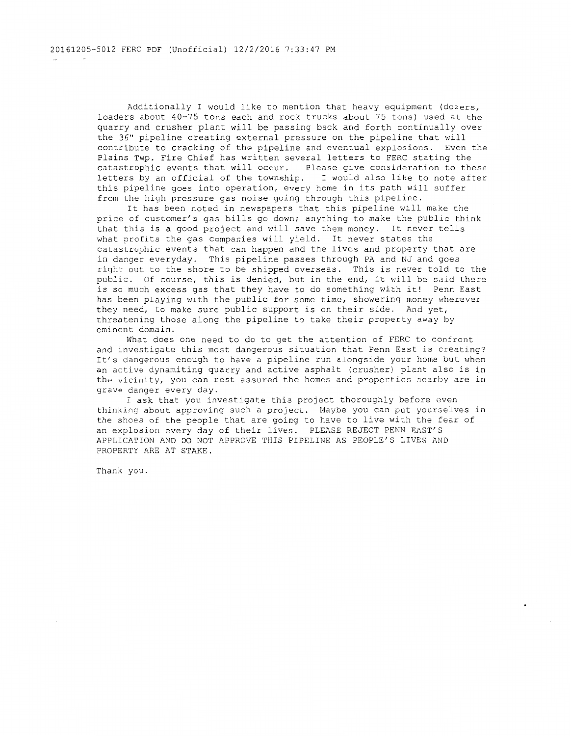Additionally I would like to mention that heavy equipment (dozers, loaders about 40-75 tons each and rock trucks about 75 tons) used at the quarry and crusher plant will be passing back and forth continually over the 36" pipeline creating external pressure on the pipeline that will contribute to cracking of the pipeline and eventual explosions. Even the Plains Twp. Fire Chief has written several letters to FERC stating the catastrophic events that will occur. Please give consideration to these letters by an official of the township. I would also like to note after this pipeline goes into operation, every home in its path will suffer from the high pressure gas noise going through this pipeline.

It has been noted in newspapers that this pipeline will make the price of customer's gas bills go down; anything to make the public think that this is a good project and will save them money. It never tells what profits the gas companies will yield. It never states the catastrophic events that can happen and the lives and property that are in danger everyday. This pipeline passes through PA and NJ and goes right out to the shore to be shipped overseas. This is never told to the public. Of course, this is denied, but in the end, it will be said there is so much excess gas that they have to do something with it! Penn East has been playing with the public for some time, showering money wherever they need, to make sure public support is on their side. And yet, threatening those along the pipeline to take their property away by eminent domain.

What does one need to do to get the attention of FERC to confront and investigate this most dangerous situation that Penn East is creating? It's dangerous enough to have a pipeline run alongside your home but when an active dynamiting quarry and active asphalt (crusher) plant also is in the vicinity, you can rest assured the homes and properties nearby are in grave danger every day.

I ask that you investigate this project thoroughly before even thinking about approving such a project. Maybe you can put yourselves in the shoes of the people that are going to have to live with the fear of an explosion every day of their lives. PLEASE REJECT PENN EAST'S APPLICATION AND DO NOT APPROVE THIS PIPELINE AS PEOPLE'S LIVES AND PROPERTY ARE AT STAKE.

 $\Delta$ 

Thank you.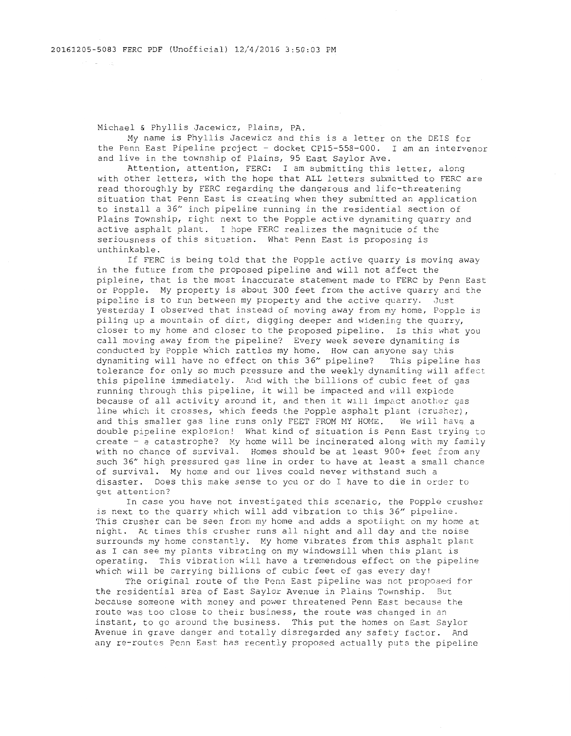Michael & Phyllis Jacewicz, Plains, PA.

My name is Phyllis Jacewicz and this is a letter on the DEIS for the Penn East Pipeline project - docket CP15-558-000. I am an intervenor and live in the township of Plains, 95 East Saylor Ave.

Attention, attention, FERC: I am submitting this letter, along with other letters, with the hope that ALL letters submitted to FERC are read thoroughly by FERC regarding the dangerous and life-threatening situation that Penn East is creating when they submitted an application to install a 36" inch pipeline running in the residential section of Plains Township, right next to the Popple active dynamiting quarry and active asphalt plant. I hope FERC realizes the magnitucie of the seriousness of this situation. What Penn East is proposing is unthinkable.

If FERC is being told that the Popple active quarry is moving away in the future from the proposed pipeline and will not affect the pipleine, that is the most inaccurate statement made to FERC by Penn East or Popple. My property is about 300 feet from the active quarry and the pipeline is to run between my property and the active quarry. Just yesterday I observed that instead of moving away from my home, Popple is piling up a mountain of dirt, digging deeper and widening the quarry, closer to my home and closer to the proposed pipeline. Is this what you call moving away from the pipeline? Every week severe dynamiting is conducted by Popple which rattles my home. How can anyone say this dynamiting will have no effect on this 36" pipeline? This pipeline has tolerance for only so much pressure and the weekly dynamiting will affect this pipeline immediately. And with the billions of cubic feet of gas running through this pipeline, it will be impacted and will explode because of all activity around it, and then it will impact another gas line which it crosses, which feeds the Popple asphalt plant (crusher), and this smaller gas line runs only FEET FROM MY HOME. We will have a double pipeline explosion! What kind of situation is Penn East trying to create - a catastrophe? My home will be incinerated along with my family with no chance of survival. Homes should be at least 900+ feet from any such 36" high pressured gas line in order to have at least a small chance of survival. My home and our lives could never withstand such a disaster. Does this make sense to you or do I have to die in order to get attention?

In case you have not investigated this scenario, the Popple crusher is next to the quarry which will add vibration to this 36" pipeline. This crusher can be seen from my home and adds a spotlight on my home at night. At times this crusher runs all night and all day and the noise surrounds my home constantly. My home vibrates from this asphalt plant as I can see my plants vibrating on my windowsill when this plant is operating. This vibration will have a tremendous effect on the pipeline which will be carrying billions of cubic feet of gas every day!

The original route of the Penn East pipeline was not proposed for the residential area of East Saylor Avenue in Plains Township. But because someone with money and power threatened Penn East because the route was too close to their business, the route was changed in an instant, to go around the business. This put the homes on East Saylor Avenue in grave danger and totally disregarded any safety factor. And any re-routes Penn East has recently proposed actually puts the pipeline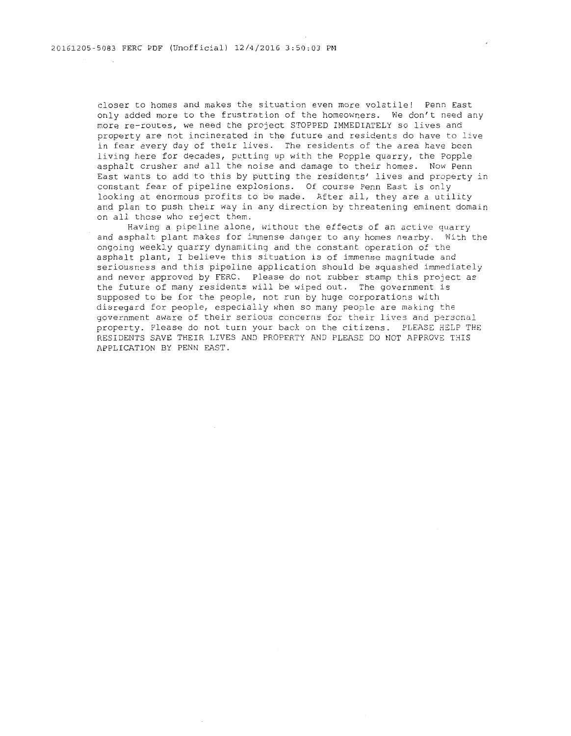closer to homes and makes the situation even more volatile! Penn East only added more to the frustration of the homeowners. We don't need any more re-routes, we need the project STOPPED IMMEDIATELY so lives and property are not incinerated in the future and residents do have to live in fear every day of their lives. The residents of the area have been living here for decades, putting up with the Popple quarry, the Popple asphalt crusher and all the noise and damage to their homes. Now Penn East wants to add to this by putting the residents' lives and property in constant fear of pipeline explosions. Of course Penn East is only looking at enormous profits to be made. After all, they are a utility and plan to push their way in any direction by threatening eminent domain on all those who reject them.

Having a pipeline alone, without the effects of an active quarry and asphalt plant makes for immense danger to any homes nearby. With the ongoing weekly quarry dynamiting and the constant operation of the asphalt plant, I believe this situation is of immense magnitude and seriousness and this pipeline application should be squashed immediately and never approved by FERC. Please do not rubber stamp this project as the future of many residents will be wiped out. The government is supposed to be for the people, not run by huge corporations with disregard for people, especially when so many people are making the government aware of their serious concerns for their lives and personal property. Please do not turn your back on the citizens. PLEASE HELP THE RESIDENTS SAVE THEIR LIVES AND PROPERTY AND PLEASE DO NOT APPROVE THIS APPLICATION BY PENN EAST.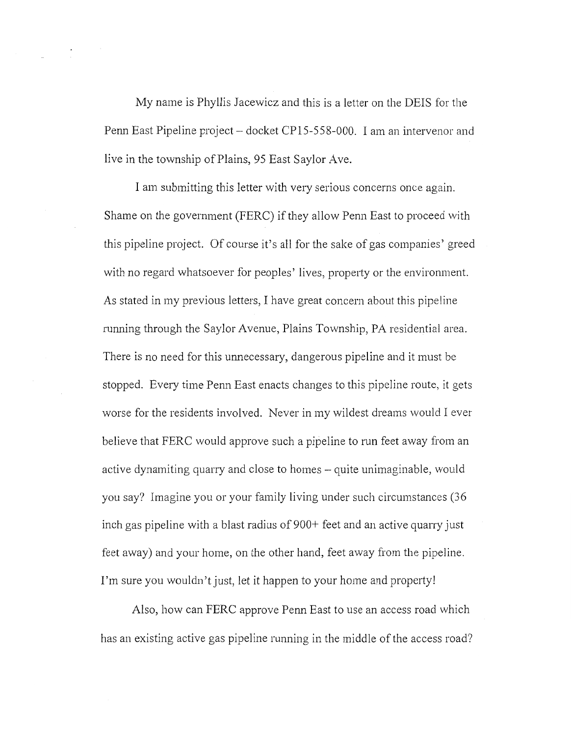My name is Phyllis Jacewicz and this is a letter on the DEIS for the Penn East Pipeline project – docket CP15-558-000. I am an intervenor and live in the township of Plains, 95 East Saylor Ave.

I am submitting this letter with very serious concerns once again. Shame on the government (FERC) if they allow Penn East to proceed with this pipeline project. Of course it's all for the sake of gas companies' greed with no regard whatsoever for peoples' lives, property or the environment. As stated in my previous letters, I have great concern about this pipeline running through the Saylor Avenue, Plains Township, PA residential area. There is no need for this unnecessary, dangerous pipeline and it must be stopped. Every time Penn East enacts changes to this pipeline route, it gets worse for the residents involved. Never in my wildest dreams would I ever believe that FERC would approve such a pipeline to run feet away from an active dynamiting quarry and close to homes – quite unimaginable, would you say? Imagine you or your family living under such circumstances (36 inch gas pipeline with a blast radius of 900+ feet and an active quarry just feet away) and your home, on the other hand, feet away from the pipeline. I'm sure you wouldn't just, let it happen to your home and property!

Also, how can FERC approve Penn East to use an access road which has an existing active gas pipeline running in the middle of the access road?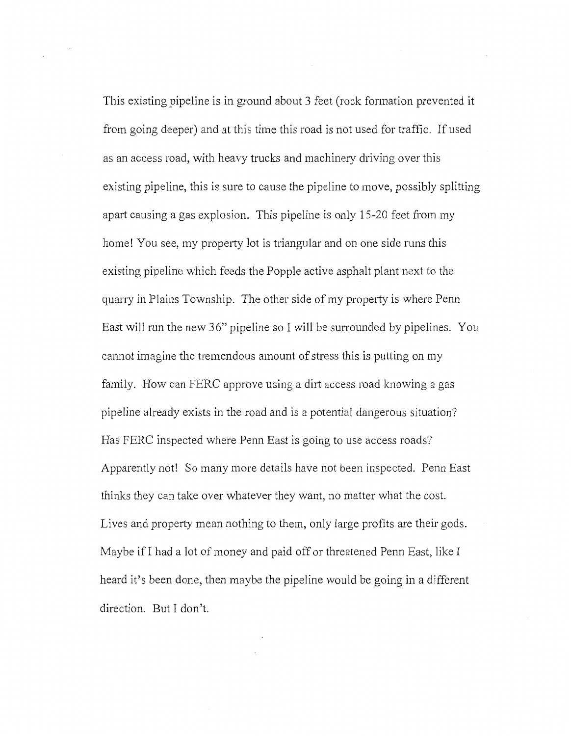This existing pipeline is in ground about 3 feet (rock formation prevented it from going deeper) and at this time this road is not used for traffic. If used as an access road, with heavy trucks and machinery driving over this existing pipeline, this is sure to cause the pipeline to move, possibly splitting apart causing a gas explosion. This pipeline is only 15-20 feet from my home! You see, my property lot is triangular and on one side runs this existing pipeline which feeds the Popple active asphalt plant next to the quarry in Plains Township. The other side of my property is where Penn East will run the new 36" pipeline so I will be surrounded by pipelines. You cannot imagine the tremendous amount of stress this is putting on my family. How can FERC approve using a dirt access road knowing a gas pipeline already exists in the road and is a potential dangerous situation? Has FERC inspected where Penn East is going to use access roads? Apparently not! So many more details have not been inspected. Penn East thinks they can take over whatever they want, no matter what the cost. Lives and property mean nothing to them, only large profits are their gods. Maybe if I had a lot of money and paid off or threatened Penn East, like I heard it's been done, then maybe the pipeline would be going in a different direction. But I don't.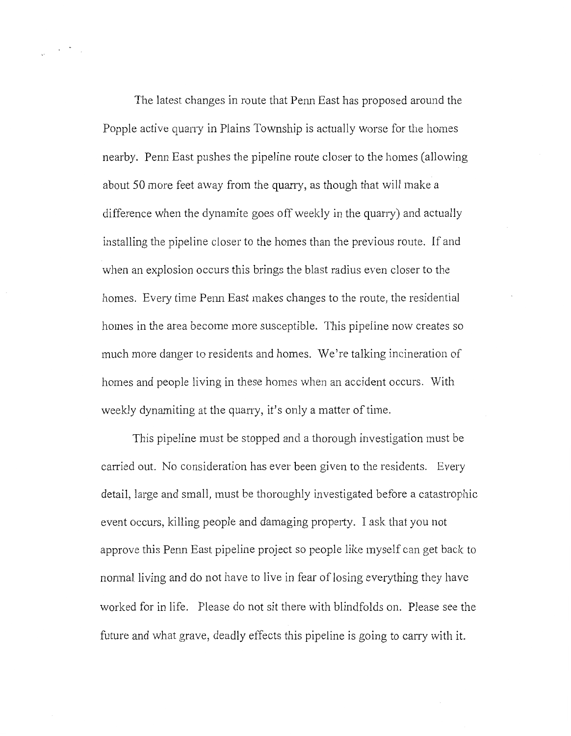The latest changes in route that Penn East has proposed around the Popple active quarry in Plains Township is actually worse for the homes nearby. Penn East pushes the pipeline route closer to the homes (allowing about 50 more feet away from the quarry, as though that will make a difference when the dynamite goes off weekly in the quarry) and actually installing the pipeline closer to the homes than the previous route. If and when an explosion occurs this brings the blast radius even closer to the homes. Every time Penn East makes changes to the route, the residential homes in the area become more susceptible. This pipeline now creates so much more danger to residents and homes. We're talking incineration of homes and people living in these homes when an accident occurs. With weekly dynamiting at the quarry, it's only a matter of time.

This pipeline must be stopped and a thorough investigation must be carried out. No consideration has ever been given to the residents. Every detail, large and small, must be thoroughly investigated before a catastrophic event occurs, killing people and damaging property. I ask that you not approve this Penn East pipeline project so people like myself can get back to normal living and do not have to live in fear of losing everything they have worked for in life. Please do not sit there with blindfolds on. Please see the future and what grave, deadly effects this pipeline is going to carry with *it.*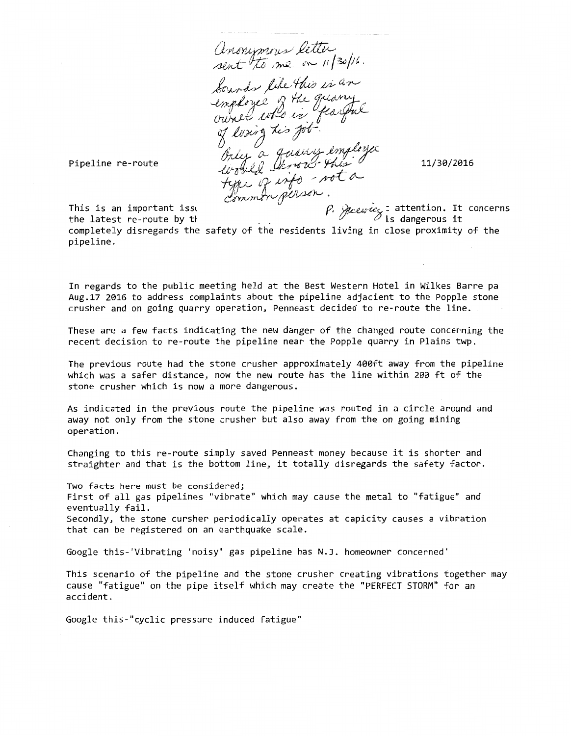Anonymous letter Lourds like this is an<br>Lourds like this is an<br>comployee of the greamy Only a queen employee would be not a

11/30/2016

Pipeline re-route

This is an important issl the latest re-route by tt  $\rho$ . Survey is attention. It concerns is dangerous it

completely disregards the safety of the residents living in close proximity of the pipeline.

In regards to the public meeting held at the Best Western Hotel in Wilkes Barre pa Aug.17 2016 to address complaints about the pipeline adjacient to the Popple stone crusher and on going quarry operation, Penneast decided to re-route the line.

These are a few facts indicating the new danger of the changed route concerning the recent decision to re-route the pipeline near the Popple quarry in Plains twp.

The previous route had the stone crusher approximately 400ft away from the pipeline which was a safer distance, now the new route has the line within 200 ft of the stone crusher which is now a more dangerous.

As indicated in the previous route the pipeline was routed in a circle around and away not only from the stone crusher but also away from the on going mining operation.

Changing to this re-route simply saved Penneast money because it is shorter and straighter and that is the bottom line, it totally disregards the safety factor.

Two facts here must be considered; First of all gas pipelines "vibrate" which may cause the metal to "fatigue" and eventually fail. Secondly, the stone cursher periodically operates at capicity causes a vibration that can be registered on an earthquake scale.

Google this-'Vibrating 'noisy' gas pipeline has N.J. homeowner concerned'

This scenario of the pipeline and the stone crusher creating vibrations together may cause "fatigue" on the pipe itself which may create the "PERFECT STORM" for an accident.

Google this-"cyclic pressure induced fatigue"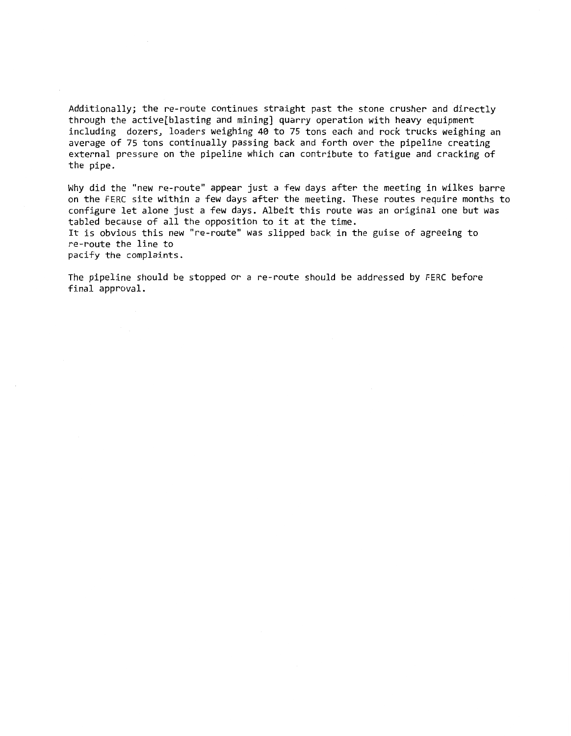Additionally; the re-route continues straight past the stone crusher and directly through the active[blasting and mining] quarry operation with heavy equipment including dozers, loaders weighing 40 to 75 tons each and rock trucks weighing an average of 75 tons continually passing back and forth over the pipeline creating external pressure on the pipeline which can contribute to fatigue and cracking of the pipe.

Why did the "new re-route" appear just a few days after the meeting in wilkes barre on the FERC site within a few days after the meeting. These routes require months to configure let alone just a few days. Albeit this route was an original one but was tabled because of all the opposition to it at the time.

It is obvious this new "re-route" was slipped back in the guise of agreeing to re-route the line to

pacify the complaints.

The pipeline should be stopped or a re-route should be addressed by FERC before final approval.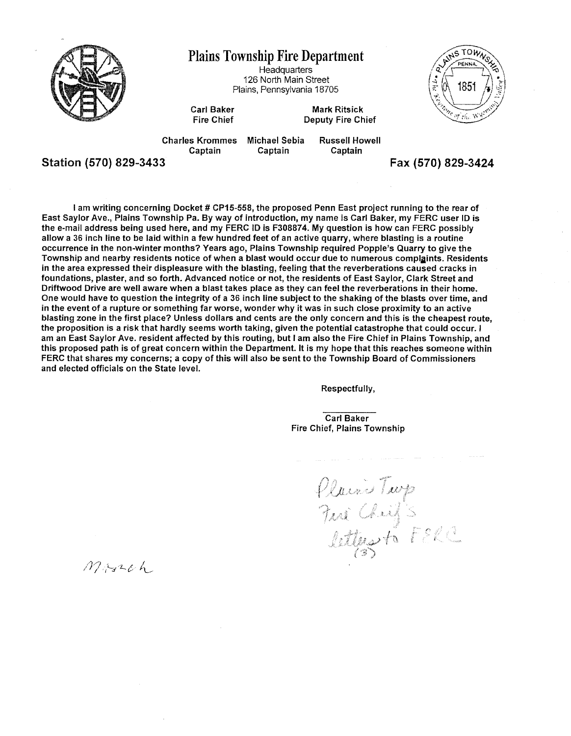

## Plains Township Fire Department

**Headquarters** 126 North Main Street Plains, Pennsylvania 18705

ALMS TOW  $M_{\rm H,4}$ 1851

Carl Baker Fire Chief

Mark Ritsick Deputy Fire Chief

Charles Krommes **Captain** Michael Sebia **Captain** 

Russell Howell **Captain** 

Station (570) 829-3433 Fax (570) 829-3424

I am writing concerning Docket # CP15-558, the proposed Penn East project running to the rear of East Saylor Ave., Plains Township Pa. By way of introduction, my name is Carl Baker, my FERC user ID is the e-mail address being used here, and my FERC ID is F308874. My question is how can FERC possibly allow a 36 inch line to be laid within a few hundred feet of an active quarry, where blasting is a routine occurrence in the non-winter months? Years ago, Plains Township required Popple's Quarry to give the Township and nearby residents notice of when a blast would occur due to numerous complaints. Residents in the area expressed their displeasure with the blasting, feeling that the reverberations caused cracks in foundations, plaster, and so forth. Advanced notice or not, the residents of East Saylor, Clark Street and Driftwood Drive are well aware when a blast takes place as they can feel the reverberations in their home. One would have to question the integrity of a 36 inch line subject to the shaking of the blasts over time, and in the event of a rupture or something far worse, wonder why it was in such close proximity to an active blasting zone in the first place? Unless dollars and cents are the only concern and this is the cheapest route, the proposition is a risk that hardly seems worth taking, given the potential catastrophe that could occur. I am an East Saylor Ave. resident affected by this routing, but I am also the Fire Chief in Plains Township, and this proposed path is of great concern within the Department. It is my hope that this reaches someone within FERC that shares my concerns; a copy of this will also be sent to the Township Board of Commissioners and elected officials on the State level.

Respectfully,

Carl Baker Fire Chief, Plains Township

Plains Turp<br>Juri Chiffs<br>Catters to FELC

March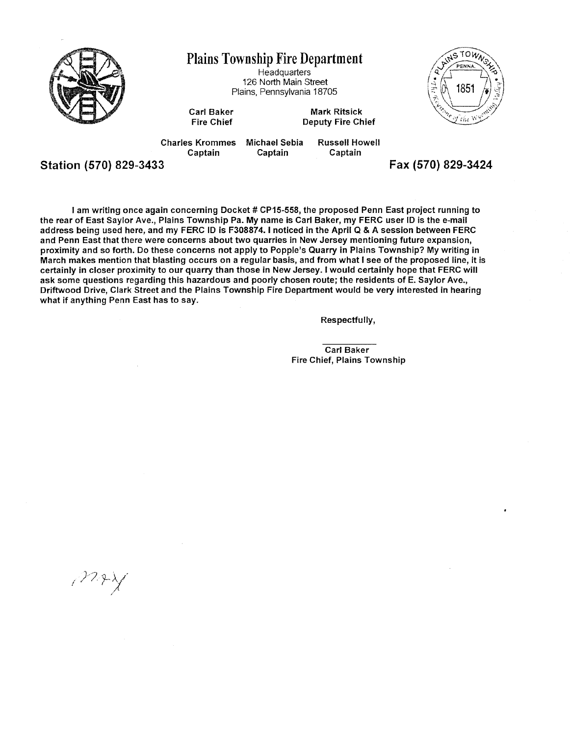

Plains Township Fire Department

**Headquarters** 126 North Main Street Plains, Pennsylvania 18705 RINSTOWN 1851 y the Y

Carl Baker Fire Chief

Mark Ritsick Deputy Fire Chief

Charles Krommes Captain Michael Sebia Captain

Russell Howell Captain

Station (570) 829-3433 Fax (570) 829-3424

I am writing once again concerning Docket # CP15-558, the proposed Penn East project running to the rear of East Saylor Ave., Plains Township Pa. My name is Carl Baker, my FERG user ID is the e-mail address being used here, and my FERG ID is F308874. I noticed in the April Q & A session between FERG and Penn East that there were concerns about two quarries in New Jersey mentioning future expansion, proximity and so forth. Do these concerns not apply to Popple's Quarry in Plains Township? My writing in March makes mention that blasting occurs on a regular basis, and from what I see of the proposed line, it is certainly in closer proximity to our quarry than those in New Jersey. I would certainly hope that FERG will ask some questions regarding this hazardous and poorly chosen route; the residents of E. Saylor Ave., Driftwood Drive, Clark Street and the Plains Township Fire Department would be very interested in hearing what if anything Penn East has to say.

Respectfully,

Carl Baker Fire Chief, Plains Township

 $\mathcal{P}^{2p}$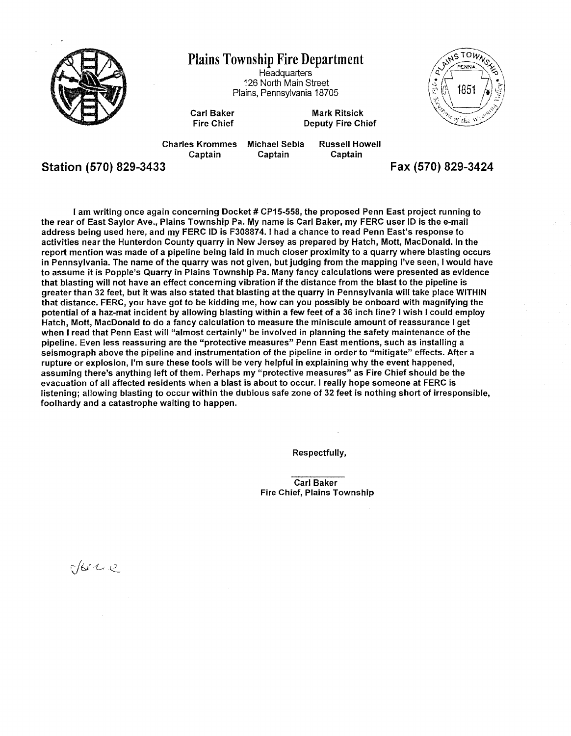

I am writing once again concerning Docket # CP15-558, the proposed Penn East project running to the rear of East Saylor Ave., Plains Township Pa. My name is Carl Baker, my FERG user ID is the e-mail address being used here, and my FERG ID is F308874. I had a chance to read Penn East's response to activities near the Hunterdon County quarry in New Jersey as prepared by Hatch, Mott, MacDonald. In the report mention was made of a pipeline being laid in much closer proximity to a quarry where blasting occurs in Pennsylvania. The name of the quarry was not given, but judging from the mapping I've seen, I would have to assume it is Popple's Quarry in Plains Township Pa. Many fancy calculations were presented as evidence that blasting will not have an effect concerning vibration if the distance from the blast to the pipeline is greater than 32 feet, but it was also stated that blasting at the quarry in Pennsylvania will take place WITHIN that distance. FERC, you have got to be kidding me, how can you possibly be onboard with magnifying the potential of a haz-mat incident by allowing blasting within a few feet of a 36 inch line? I wish I could employ Hatch, Mott, MacDonald to do a fancy calculation to measure the miniscule amount of reassurance I get when I read that Penn East will "almost certainly" be involved in planning the safety maintenance of the pipeline. Even less reassuring are the "protective measures" Penn East mentions, such as installing a seismograph above the pipeline and instrumentation of the pipeline in order to "mitigate" effects. After a rupture or explosion, I'm sure these tools will be very helpful in explaining why the event happened, assuming there's anything left of them. Perhaps my "protective measures" as Fire Chief should be the evacuation of all affected residents when a blast is about to occur. I really hope someone at FERC is listening; allowing blasting to occur within the dubious safe zone of 32 feet is nothing short of irresponsible, foolhardy and a catastrophe waiting to happen.

Respectfully,

Carl Baker Fire Chief, Plains Township

okre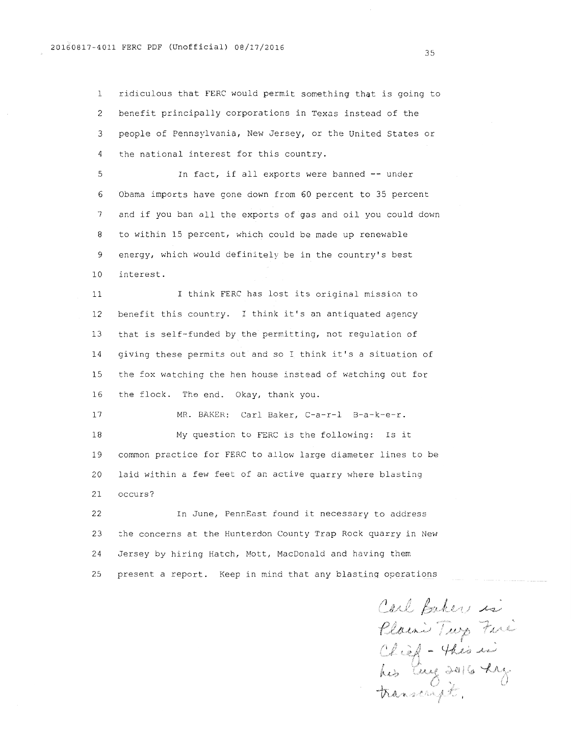1 ridiculous that FERC would permit something that is going to 2 benefit principally corporations in Texas instead of the 3 people of Pennsylvania, New Jersey, or the United States or 4 the national interest for this country.

5 In fact, if all exports were banned -- under 6 Obama imports have gone down from 60 percent to 35 percent 7 and if you ban all the exports of gas and oil you could down 8 to within 15 percent, which could be made up renewable 9 energy, which would definitely be in the country's best 10 interest.

11 I think FERC has lost its original mission to 12 benefit this country. I think it's an antiquated agency 13 that is self-funded by the permitting, not regulation of 14 giving these permits out and so I think it's a situation of 15 the fox watching the hen house instead of watching out for 16 the flock. The end. Okay, thank you.

17 MR. BAKER: Carl Baker, C-a-r-1 B-a-k-e-r. 18 My question to FERC is the following: Is it 19 common practice for FERC to allow large diameter lines to be 20 laid within a few feet of an active quarry where blasting 21 occurs?

22 In June, PennEast found it necessary to address 23 the concerns at the Hunterdon County Trap Rock quarry in New 24 Jersey by hiring Hatch, Mott, MacDonald and having them 25 present a report. Keep in mind that any blastinq operations

Carl Baker is Plain's Turp Fare<br>Clief - Thes is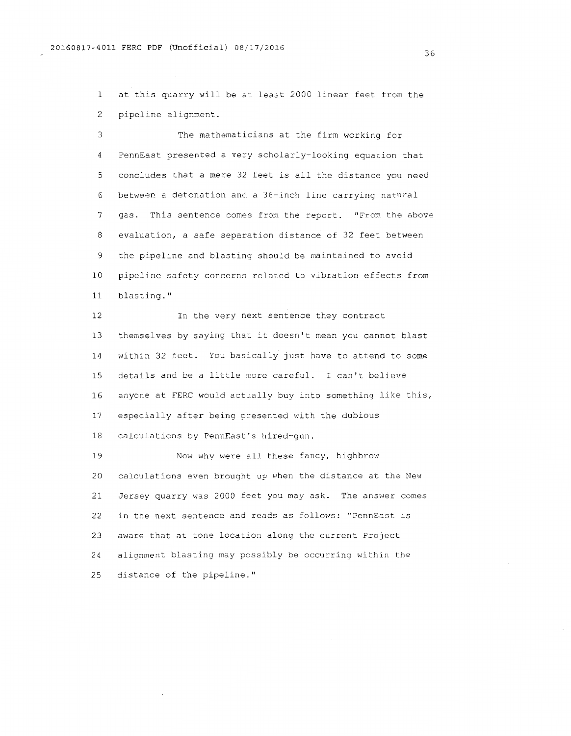1 at this quarry will be at least 2000 linear feet from the 2 pipeline alignment.

3 The mathematicians at the firm working for 4 PennEast presented a very scholarly-looking equation that 5 concludes that a mere 32 feet is all the distance you need 6 between a detonation and a 36-inch line carrying natural 7 gas. This sentence comes from the report. "From the above 8 evaluation, a safe separation distance of 32 feet between 9 the pipeline and blasting should be maintained to avoid 10 pipeline safety concerns related to vibration effects from 11 blasting."

12 In the very next sentence they contract 13 themselves by saying that it doesn't mean you cannot blast 14 within 32 feet. You basically just have to attend to some 15 details and be a little more careful. I can't believe 16 anyone at FERC would actually buy into something like this, 17 especially after being presented with the dubious 18 calculations by PennEast's hired-gun.

19 Now why were all these fancy, highbrow 20 calculations even brought up when the distance at the New 21 Jersey quarry was 2000 feet you may ask. The answer comes 22 in the next sentence and reads as follows: "PennEast is 23 aware that at tone location along the current Project 24 alignment blasting may possibly be occurring within the 25 distance of the pipeline."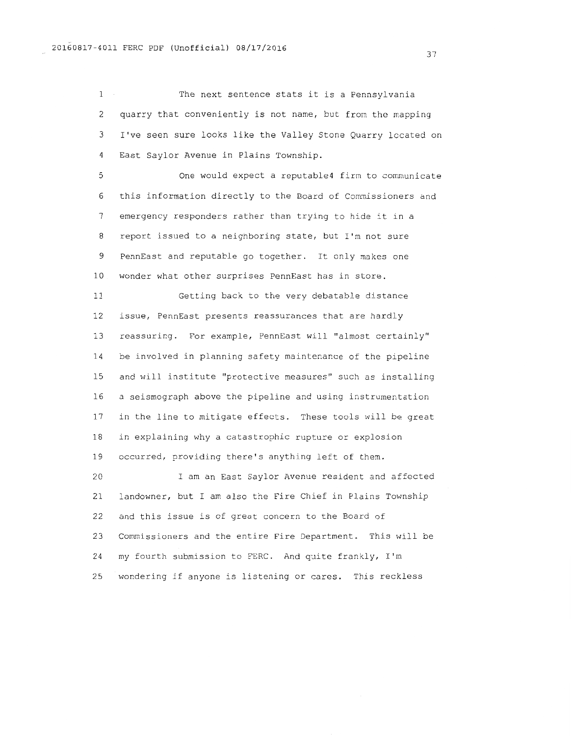1 The next sentence stats it is a Pennsylvania 2 quarry that conveniently is not name, but from the mapping 3 I've seen sure looks like the Valley Stone Quarry located on 4 East Saylor Avenue in Plains Township.

5 One would expect a reputable4 firm to communicate 6 this information directly to the Board of Commissioners and 7 emergency responders rather than trying to hide it in a 8 report issued to a neighboring state, but I'm not sure 9 PennEast and reputable go together. It only makes one 10 wonder what other surprises PennEast has in store.

11 Getting back to the very debatable distance 12 issue, PennEast presents reassurances that are hardly 13 reassuring. For example, PennEast will "almost certainly" 14 be involved in planning safety maintenance of the pipeline 15 and will institute "protective measures'' such as installing 16 a seismograph above the pipeline and using instrumentation 17 in the line to mitigate effects. These tools will be great 18 in explaining why a catastrophic rupture or explosion 19 occurred, providing there's anything left of them.

20 I am an East Saylor Avenue resident and affected 21 landowner, but I am also the Fire Chief in Plains Township 22 and this issue is of great concern to the Board of 23 Commissioners and the entire Fire Department. This will be 24 my fourth submission to FERC. And quite frankly, I'm 25 wondering if anyone is listening or cares. This reckless

37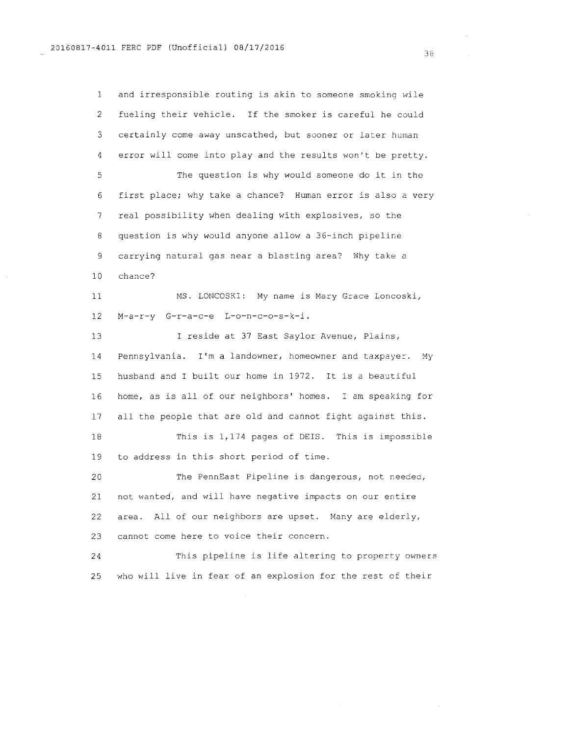1 and irresponsible routing is akin to someone smoking wile 2 fueling their vehicle. If the smoker is careful he could 3 certainly come away unscathed, but sooner or later human 4 error will come into play and the results won't be pretty. 5 The question is why would someone do it in the 6 first place; why take a chance? Human error is also a very 7 real possibility when dealing with explosives, so the 8 question is why would anyone allow a 36-inch pipeline 9 carrying natural gas near a blasting area? Why take a 10 chance? 11 MS. LONCOSKI: My name is Mary Grace Loncoski, 12 M-a-r-y G-r-a-c-e L-o-n-c-o-s-k-i. 13 14 I reside at 37 East Saylor Avenue, Plains, Pennsylvania. I'm a landowner, homeowner and taxpayer. My 15 husband and I built our home in 1972. It is a beautiful 16 home, as is all of our neighbors' homes. I am speaking for 17 all the people that are old and cannot fight against this. 18 This is 1,174 pages of DEIS. This is impossible 19 to address in this short period of time. 20 The PennEast Pipeline is dangerous, not needec, 21 not wanted, and will have negative impacts on our entire 22 area. All of our neighbors are upset. Many are elderly, 23 cannot come here to voice their concern. 24 This pipeline is life altering to property owners 25 who will live in fear of an explosion for the rest of their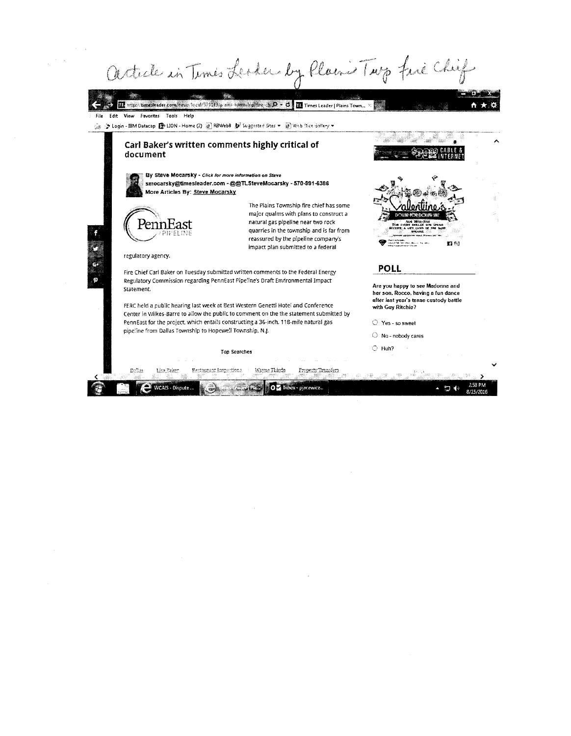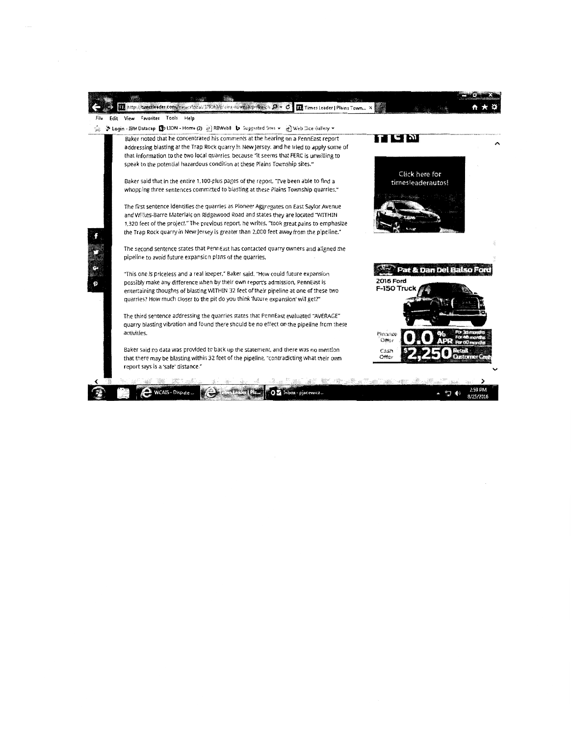